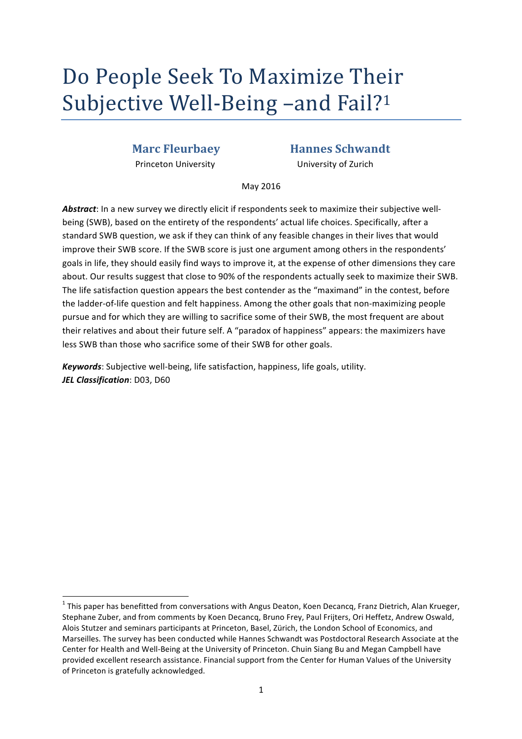# Do People Seek To Maximize Their Subjective Well-Being –and Fail?<sup>1</sup>

Princeton University ""
University
University
Of Zurich

# **Marc Fleurbaey <b>Hannes Schwandt**

May 2016

Abstract: In a new survey we directly elicit if respondents seek to maximize their subjective wellbeing (SWB), based on the entirety of the respondents' actual life choices. Specifically, after a standard SWB question, we ask if they can think of any feasible changes in their lives that would improve their SWB score. If the SWB score is just one argument among others in the respondents' goals in life, they should easily find ways to improve it, at the expense of other dimensions they care about. Our results suggest that close to 90% of the respondents actually seek to maximize their SWB. The life satisfaction question appears the best contender as the "maximand" in the contest, before the ladder-of-life question and felt happiness. Among the other goals that non-maximizing people pursue and for which they are willing to sacrifice some of their SWB, the most frequent are about their relatives and about their future self. A "paradox of happiness" appears: the maximizers have less SWB than those who sacrifice some of their SWB for other goals.

*Keywords*: Subjective well-being, life satisfaction, happiness, life goals, utility. *JEL Classification: D03, D60* 

""""""""""""""""""""""""""""""""""""""""""""""""""""""""""""

 $1$  This paper has benefitted from conversations with Angus Deaton, Koen Decancq, Franz Dietrich, Alan Krueger, Stephane Zuber, and from comments by Koen Decancq, Bruno Frey, Paul Frijters, Ori Heffetz, Andrew Oswald, Alois Stutzer and seminars participants at Princeton, Basel, Zürich, the London School of Economics, and Marseilles. The survey has been conducted while Hannes Schwandt was Postdoctoral Research Associate at the Center for Health and Well-Being at the University of Princeton. Chuin Siang Bu and Megan Campbell have provided excellent research assistance. Financial support from the Center for Human Values of the University of Princeton is gratefully acknowledged.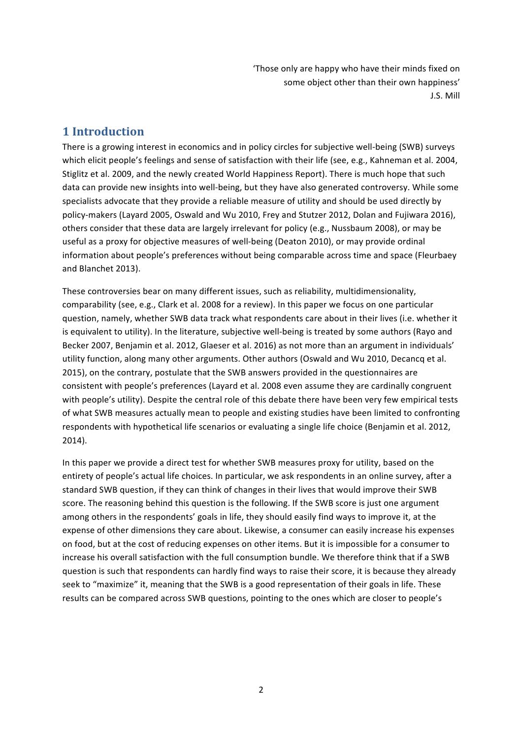" Those only are happy who have their minds fixed on some object other than their own happiness' J.S. Mill

# **1%Introduction**

There is a growing interest in economics and in policy circles for subjective well-being (SWB) surveys which elicit people's feelings and sense of satisfaction with their life (see, e.g., Kahneman et al. 2004, Stiglitz et al. 2009, and the newly created World Happiness Report). There is much hope that such data can provide new insights into well-being, but they have also generated controversy. While some specialists advocate that they provide a reliable measure of utility and should be used directly by policy-makers (Layard 2005, Oswald and Wu 2010, Frey and Stutzer 2012, Dolan and Fujiwara 2016), others consider that these data are largely irrelevant for policy (e.g., Nussbaum 2008), or may be useful as a proxy for objective measures of well-being (Deaton 2010), or may provide ordinal information about people's preferences without being comparable across time and space (Fleurbaey and Blanchet 2013).

These controversies bear on many different issues, such as reliability, multidimensionality, comparability (see, e.g., Clark et al. 2008 for a review). In this paper we focus on one particular question, namely, whether SWB data track what respondents care about in their lives (i.e. whether it is equivalent to utility). In the literature, subjective well-being is treated by some authors (Rayo and Becker 2007, Benjamin et al. 2012, Glaeser et al. 2016) as not more than an argument in individuals' utility function, along many other arguments. Other authors (Oswald and Wu 2010, Decancq et al. 2015), on the contrary, postulate that the SWB answers provided in the questionnaires are consistent with people's preferences (Layard et al. 2008 even assume they are cardinally congruent with people's utility). Despite the central role of this debate there have been very few empirical tests of what SWB measures actually mean to people and existing studies have been limited to confronting respondents with hypothetical life scenarios or evaluating a single life choice (Benjamin et al. 2012, 2014).

In this paper we provide a direct test for whether SWB measures proxy for utility, based on the entirety of people's actual life choices. In particular, we ask respondents in an online survey, after a standard SWB question, if they can think of changes in their lives that would improve their SWB score. The reasoning behind this question is the following. If the SWB score is just one argument among others in the respondents' goals in life, they should easily find ways to improve it, at the expense of other dimensions they care about. Likewise, a consumer can easily increase his expenses on food, but at the cost of reducing expenses on other items. But it is impossible for a consumer to increase his overall satisfaction with the full consumption bundle. We therefore think that if a SWB question is such that respondents can hardly find ways to raise their score, it is because they already seek to "maximize" it, meaning that the SWB is a good representation of their goals in life. These results can be compared across SWB questions, pointing to the ones which are closer to people's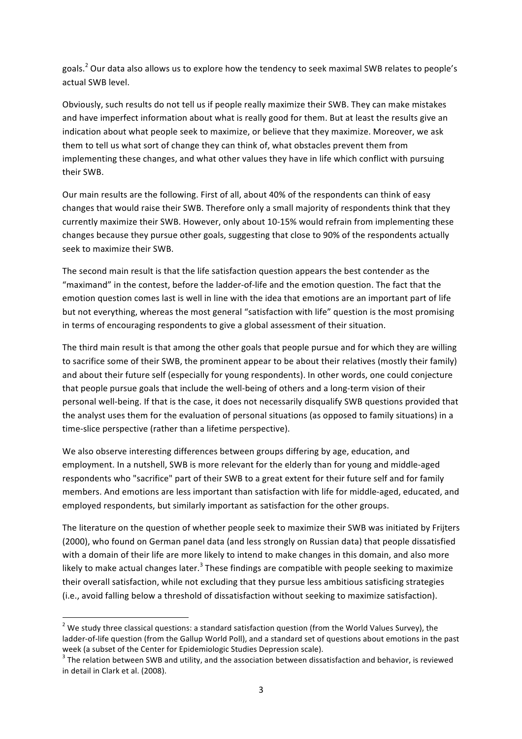goals.<sup>2</sup> Our data also allows us to explore how the tendency to seek maximal SWB relates to people's actual SWB level.

Obviously, such results do not tell us if people really maximize their SWB. They can make mistakes and have imperfect information about what is really good for them. But at least the results give an indication about what people seek to maximize, or believe that they maximize. Moreover, we ask them to tell us what sort of change they can think of, what obstacles prevent them from implementing these changes, and what other values they have in life which conflict with pursuing their SWB.

Our main results are the following. First of all, about 40% of the respondents can think of easy changes that would raise their SWB. Therefore only a small majority of respondents think that they currently maximize their SWB. However, only about 10-15% would refrain from implementing these changes because they pursue other goals, suggesting that close to 90% of the respondents actually seek to maximize their SWB.

The second main result is that the life satisfaction question appears the best contender as the "maximand" in the contest, before the ladder-of-life and the emotion question. The fact that the emotion question comes last is well in line with the idea that emotions are an important part of life but not everything, whereas the most general "satisfaction with life" question is the most promising in terms of encouraging respondents to give a global assessment of their situation.

The third main result is that among the other goals that people pursue and for which they are willing to sacrifice some of their SWB, the prominent appear to be about their relatives (mostly their family) and about their future self (especially for young respondents). In other words, one could conjecture that people pursue goals that include the well-being of others and a long-term vision of their personal well-being. If that is the case, it does not necessarily disqualify SWB questions provided that the analyst uses them for the evaluation of personal situations (as opposed to family situations) in a time-slice perspective (rather than a lifetime perspective).

We also observe interesting differences between groups differing by age, education, and employment. In a nutshell, SWB is more relevant for the elderly than for young and middle-aged respondents who "sacrifice" part of their SWB to a great extent for their future self and for family members. And emotions are less important than satisfaction with life for middle-aged, educated, and employed respondents, but similarly important as satisfaction for the other groups.

The literature on the question of whether people seek to maximize their SWB was initiated by Frijters (2000), who found on German panel data (and less strongly on Russian data) that people dissatisfied with a domain of their life are more likely to intend to make changes in this domain, and also more likely to make actual changes later.<sup>3</sup> These findings are compatible with people seeking to maximize their overall satisfaction, while not excluding that they pursue less ambitious satisficing strategies (i.e., avoid falling below a threshold of dissatisfaction without seeking to maximize satisfaction).

""""""""""""""""""""""""""""""""""""""""""""""""""""""""""""

<sup>&</sup>lt;sup>2</sup> We study three classical questions: a standard satisfaction question (from the World Values Survey), the ladder-of-life question (from the Gallup World Poll), and a standard set of questions about emotions in the past week (a subset of the Center for Epidemiologic Studies Depression scale).  $3$  The relation between SWB and utility, and the association between dissatisfaction and behavior, is reviewed

in detail in Clark et al. (2008).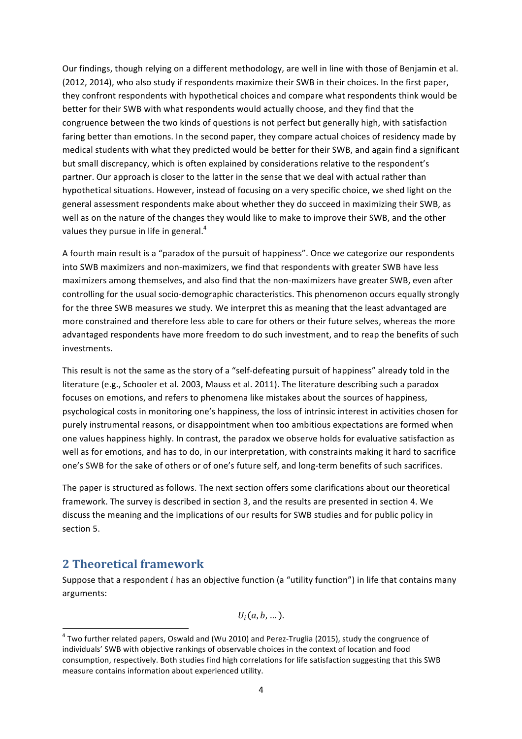Our findings, though relying on a different methodology, are well in line with those of Benjamin et al. (2012, 2014), who also study if respondents maximize their SWB in their choices. In the first paper, they confront respondents with hypothetical choices and compare what respondents think would be better for their SWB with what respondents would actually choose, and they find that the congruence between the two kinds of questions is not perfect but generally high, with satisfaction faring better than emotions. In the second paper, they compare actual choices of residency made by medical students with what they predicted would be better for their SWB, and again find a significant but small discrepancy, which is often explained by considerations relative to the respondent's partner. Our approach is closer to the latter in the sense that we deal with actual rather than hypothetical situations. However, instead of focusing on a very specific choice, we shed light on the general assessment respondents make about whether they do succeed in maximizing their SWB, as well as on the nature of the changes they would like to make to improve their SWB, and the other values they pursue in life in general.<sup>4</sup>

A fourth main result is a "paradox of the pursuit of happiness". Once we categorize our respondents into SWB maximizers and non-maximizers, we find that respondents with greater SWB have less maximizers among themselves, and also find that the non-maximizers have greater SWB, even after controlling for the usual socio-demographic characteristics. This phenomenon occurs equally strongly for the three SWB measures we study. We interpret this as meaning that the least advantaged are more constrained and therefore less able to care for others or their future selves, whereas the more advantaged respondents have more freedom to do such investment, and to reap the benefits of such investments.

This result is not the same as the story of a "self-defeating pursuit of happiness" already told in the literature (e.g., Schooler et al. 2003, Mauss et al. 2011). The literature describing such a paradox focuses on emotions, and refers to phenomena like mistakes about the sources of happiness, psychological costs in monitoring one's happiness, the loss of intrinsic interest in activities chosen for purely instrumental reasons, or disappointment when too ambitious expectations are formed when one values happiness highly. In contrast, the paradox we observe holds for evaluative satisfaction as well as for emotions, and has to do, in our interpretation, with constraints making it hard to sacrifice one's SWB for the sake of others or of one's future self, and long-term benefits of such sacrifices.

The paper is structured as follows. The next section offers some clarifications about our theoretical framework. The survey is described in section 3, and the results are presented in section 4. We discuss the meaning and the implications of our results for SWB studies and for public policy in section 5.

# **2%Theoretical%framework**

""""""""""""""""""""""""""""""""""""""""""""""""""""""""""""

Suppose that a respondent  $i$  has an objective function (a "utility function") in life that contains many arguments:

 $U_i(a, b, \dots).$ 

 $4$  Two further related papers, Oswald and (Wu 2010) and Perez-Truglia (2015), study the congruence of individuals' SWB with objective rankings of observable choices in the context of location and food consumption, respectively. Both studies find high correlations for life satisfaction suggesting that this SWB measure contains information about experienced utility.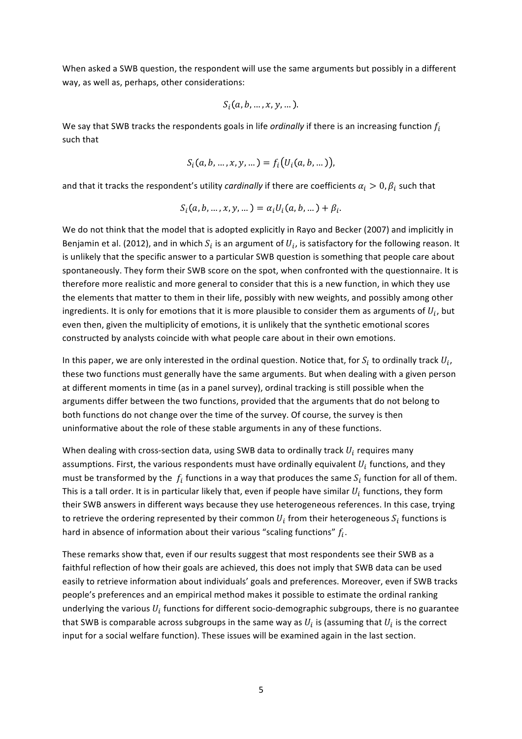When asked a SWB question, the respondent will use the same arguments but possibly in a different way, as well as, perhaps, other considerations:

$$
S_i(a, b, \ldots, x, y, \ldots).
$$

We say that SWB tracks the respondents goals in life *ordinally* if there is an increasing function  $f_i$ such that

$$
S_i(a, b, ..., x, y, ...)=f_i(U_i(a, b, ...)),
$$

and that it tracks the respondent's utility *cardinally* if there are coefficients  $\alpha_i > 0$ ,  $\beta_i$  such that

$$
S_i(a, b, ..., x, y, ... ) = a_i U_i(a, b, ... ) + \beta_i.
$$

We do not think that the model that is adopted explicitly in Rayo and Becker (2007) and implicitly in Benjamin et al. (2012), and in which  $S_i$  is an argument of  $U_i$ , is satisfactory for the following reason. It is unlikely that the specific answer to a particular SWB question is something that people care about spontaneously. They form their SWB score on the spot, when confronted with the questionnaire. It is therefore more realistic and more general to consider that this is a new function, in which they use the elements that matter to them in their life, possibly with new weights, and possibly among other ingredients. It is only for emotions that it is more plausible to consider them as arguments of  $U_i$ , but even then, given the multiplicity of emotions, it is unlikely that the synthetic emotional scores constructed by analysts coincide with what people care about in their own emotions.

In this paper, we are only interested in the ordinal question. Notice that, for  $S_i$  to ordinally track  $U_i$ , these two functions must generally have the same arguments. But when dealing with a given person at different moments in time (as in a panel survey), ordinal tracking is still possible when the arguments differ between the two functions, provided that the arguments that do not belong to both functions do not change over the time of the survey. Of course, the survey is then uninformative about the role of these stable arguments in any of these functions.

When dealing with cross-section data, using SWB data to ordinally track  $U_i$  requires many assumptions. First, the various respondents must have ordinally equivalent  $U_i$  functions, and they must be transformed by the  $f_i$  functions in a way that produces the same  $S_i$  function for all of them. This is a tall order. It is in particular likely that, even if people have similar  $U_i$  functions, they form their SWB answers in different ways because they use heterogeneous references. In this case, trying to retrieve the ordering represented by their common  $U_i$  from their heterogeneous  $S_i$  functions is hard in absence of information about their various "scaling functions"  $f_i$ .

These remarks show that, even if our results suggest that most respondents see their SWB as a faithful reflection of how their goals are achieved, this does not imply that SWB data can be used easily to retrieve information about individuals' goals and preferences. Moreover, even if SWB tracks people's preferences and an empirical method makes it possible to estimate the ordinal ranking underlying the various  $U_i$  functions for different socio-demographic subgroups, there is no guarantee that SWB is comparable across subgroups in the same way as  $U_i$  is (assuming that  $U_i$  is the correct input for a social welfare function). These issues will be examined again in the last section.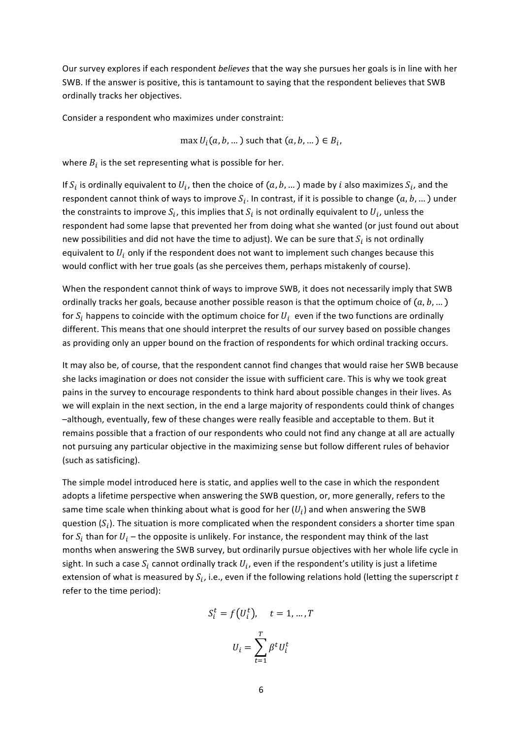Our survey explores if each respondent *believes* that the way she pursues her goals is in line with her SWB. If the answer is positive, this is tantamount to saying that the respondent believes that SWB ordinally tracks her objectives.

Consider a respondent who maximizes under constraint:

 $\max U_i(a, b, ...)$  such that  $(a, b, ...) \in B_i$ ,

where  $B_i$  is the set representing what is possible for her.

If  $S_i$  is ordinally equivalent to  $U_i$ , then the choice of  $(a, b, ...)$  made by i also maximizes  $S_i$ , and the respondent cannot think of ways to improve  $S_i$ . In contrast, if it is possible to change  $(a, b, ... )$  under the constraints to improve  $S_i$ , this implies that  $S_i$  is not ordinally equivalent to  $U_i$ , unless the respondent had some lapse that prevented her from doing what she wanted (or just found out about new possibilities and did not have the time to adjust). We can be sure that  $S_i$  is not ordinally equivalent to  $U_i$  only if the respondent does not want to implement such changes because this would conflict with her true goals (as she perceives them, perhaps mistakenly of course).

When the respondent cannot think of ways to improve SWB, it does not necessarily imply that SWB ordinally tracks her goals, because another possible reason is that the optimum choice of  $(a, b, ...)$ for  $S_i$  happens to coincide with the optimum choice for  $U_i$  even if the two functions are ordinally different. This means that one should interpret the results of our survey based on possible changes as providing only an upper bound on the fraction of respondents for which ordinal tracking occurs.

It may also be, of course, that the respondent cannot find changes that would raise her SWB because she lacks imagination or does not consider the issue with sufficient care. This is why we took great pains in the survey to encourage respondents to think hard about possible changes in their lives. As we will explain in the next section, in the end a large majority of respondents could think of changes -although, eventually, few of these changes were really feasible and acceptable to them. But it remains possible that a fraction of our respondents who could not find any change at all are actually not pursuing any particular objective in the maximizing sense but follow different rules of behavior (such as satisficing).

The simple model introduced here is static, and applies well to the case in which the respondent adopts a lifetime perspective when answering the SWB question, or, more generally, refers to the same time scale when thinking about what is good for her  $(U_i)$  and when answering the SWB question  $(S_i)$ . The situation is more complicated when the respondent considers a shorter time span for  $S_i$  than for  $U_i$  – the opposite is unlikely. For instance, the respondent may think of the last months when answering the SWB survey, but ordinarily pursue objectives with her whole life cycle in sight. In such a case  $S_i$  cannot ordinally track  $U_i$ , even if the respondent's utility is just a lifetime extension of what is measured by  $S_i$ , i.e., even if the following relations hold (letting the superscript t refer to the time period):

$$
S_i^t = f(U_i^t), \quad t = 1, \dots, T
$$

$$
U_i = \sum_{t=1}^T \beta^t U_i^t
$$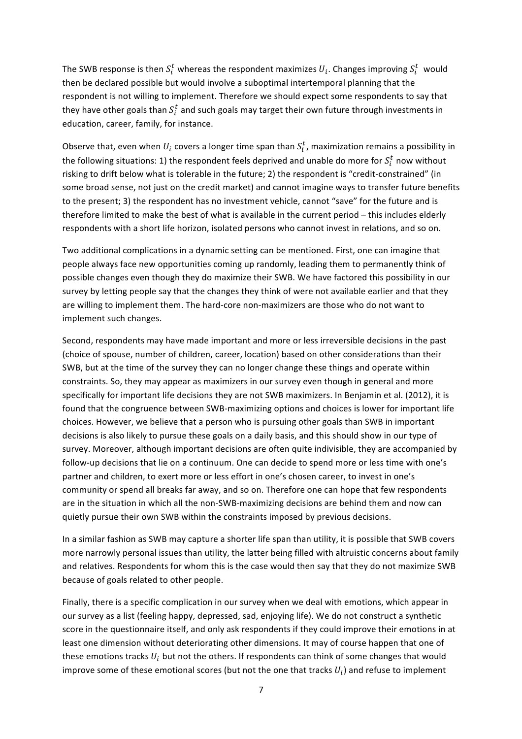The SWB response is then  $S_i^t$  whereas the respondent maximizes  $U_i.$  Changes improving  $S_i^t\;$  would then be declared possible but would involve a suboptimal intertemporal planning that the respondent is not willing to implement. Therefore we should expect some respondents to say that they have other goals than  $S_t^t$  and such goals may target their own future through investments in education, career, family, for instance.

Observe that, even when  $U_i$  covers a longer time span than  $S_i^t$ , maximization remains a possibility in the following situations: 1) the respondent feels deprived and unable do more for  $S_i^t$  now without risking to drift below what is tolerable in the future; 2) the respondent is "credit-constrained" (in some broad sense, not just on the credit market) and cannot imagine ways to transfer future benefits to the present; 3) the respondent has no investment vehicle, cannot "save" for the future and is therefore limited to make the best of what is available in the current period – this includes elderly respondents with a short life horizon, isolated persons who cannot invest in relations, and so on.

Two additional complications in a dynamic setting can be mentioned. First, one can imagine that people always face new opportunities coming up randomly, leading them to permanently think of possible changes even though they do maximize their SWB. We have factored this possibility in our survey by letting people say that the changes they think of were not available earlier and that they are willing to implement them. The hard-core non-maximizers are those who do not want to implement such changes.

Second, respondents may have made important and more or less irreversible decisions in the past (choice of spouse, number of children, career, location) based on other considerations than their SWB, but at the time of the survey they can no longer change these things and operate within constraints. So, they may appear as maximizers in our survey even though in general and more specifically for important life decisions they are not SWB maximizers. In Benjamin et al. (2012), it is found that the congruence between SWB-maximizing options and choices is lower for important life choices. However, we believe that a person who is pursuing other goals than SWB in important decisions is also likely to pursue these goals on a daily basis, and this should show in our type of survey. Moreover, although important decisions are often quite indivisible, they are accompanied by follow-up decisions that lie on a continuum. One can decide to spend more or less time with one's partner and children, to exert more or less effort in one's chosen career, to invest in one's community or spend all breaks far away, and so on. Therefore one can hope that few respondents are in the situation in which all the non-SWB-maximizing decisions are behind them and now can quietly pursue their own SWB within the constraints imposed by previous decisions.

In a similar fashion as SWB may capture a shorter life span than utility, it is possible that SWB covers more narrowly personal issues than utility, the latter being filled with altruistic concerns about family and relatives. Respondents for whom this is the case would then say that they do not maximize SWB because of goals related to other people.

Finally, there is a specific complication in our survey when we deal with emotions, which appear in our survey as a list (feeling happy, depressed, sad, enjoying life). We do not construct a synthetic score in the questionnaire itself, and only ask respondents if they could improve their emotions in at least one dimension without deteriorating other dimensions. It may of course happen that one of these emotions tracks  $U_i$  but not the others. If respondents can think of some changes that would improve some of these emotional scores (but not the one that tracks  $U_i$ ) and refuse to implement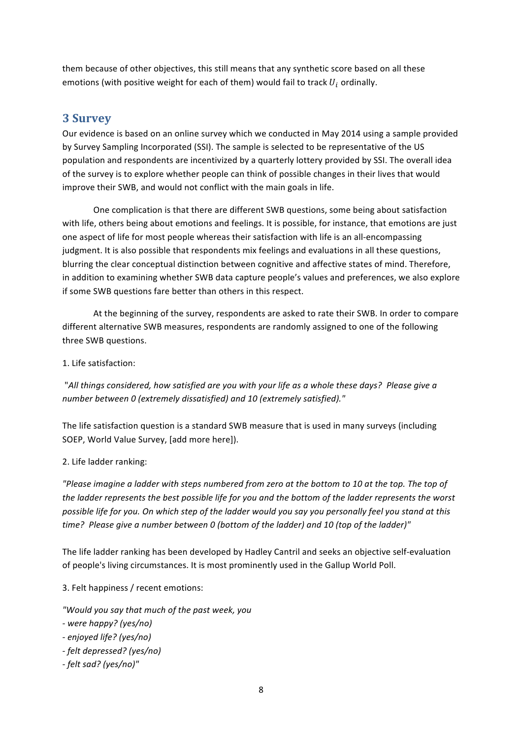them because of other objectives, this still means that any synthetic score based on all these emotions (with positive weight for each of them) would fail to track  $U_i$  ordinally.

# **3%Survey**

Our evidence is based on an online survey which we conducted in May 2014 using a sample provided by Survey Sampling Incorporated (SSI). The sample is selected to be representative of the US population and respondents are incentivized by a quarterly lottery provided by SSI. The overall idea of the survey is to explore whether people can think of possible changes in their lives that would improve their SWB, and would not conflict with the main goals in life.

One complication is that there are different SWB questions, some being about satisfaction with life, others being about emotions and feelings. It is possible, for instance, that emotions are just one aspect of life for most people whereas their satisfaction with life is an all-encompassing judgment. It is also possible that respondents mix feelings and evaluations in all these questions, blurring the clear conceptual distinction between cognitive and affective states of mind. Therefore, in addition to examining whether SWB data capture people's values and preferences, we also explore if some SWB questions fare better than others in this respect.

At the beginning of the survey, respondents are asked to rate their SWB. In order to compare different alternative SWB measures, respondents are randomly assigned to one of the following three SWB questions.

#### 1. Life satisfaction:

"All things considered, how satisfied are you with your life as a whole these days? Please give a *number between 0 (extremely dissatisfied) and 10 (extremely satisfied)."* 

The life satisfaction question is a standard SWB measure that is used in many surveys (including SOEP, World Value Survey, [add more here]).

#### 2. Life ladder ranking:

*"Please imagine a ladder with steps numbered from zero at the bottom to 10 at the top. The top of* the ladder represents the best possible life for you and the bottom of the ladder represents the worst possible life for you. On which step of the ladder would you say you personally feel you stand at this time? Please give a number between 0 (bottom of the ladder) and 10 (top of the ladder)"

The life ladder ranking has been developed by Hadley Cantril and seeks an objective self-evaluation of people's living circumstances. It is most prominently used in the Gallup World Poll.

3. Felt happiness / recent emotions:

*"Would/you/say/that/much/of/the/past/week,/you/*

- *G were/happy?/(yes/no)*
- *G enjoyed/life?/(yes/no)*
- *G felt/depressed?/(yes/no)*
- *G felt/sad?/(yes/no)"*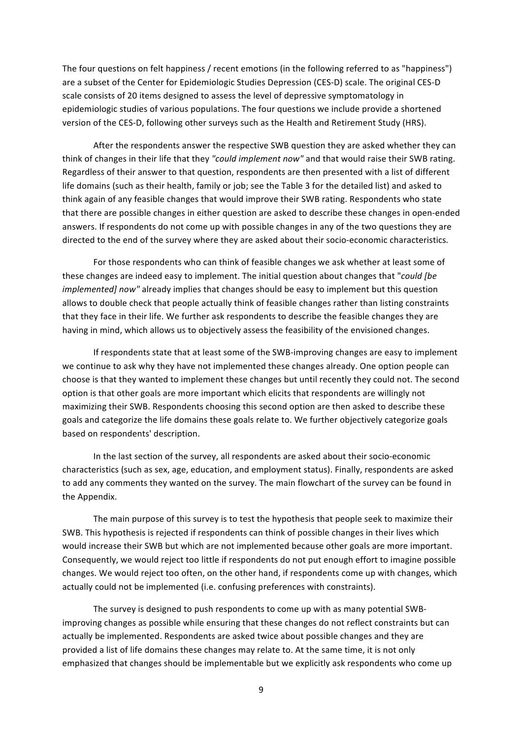The four questions on felt happiness / recent emotions (in the following referred to as "happiness") are a subset of the Center for Epidemiologic Studies Depression (CES-D) scale. The original CES-D scale consists of 20 items designed to assess the level of depressive symptomatology in epidemiologic studies of various populations. The four questions we include provide a shortened version of the CES-D, following other surveys such as the Health and Retirement Study (HRS).

After the respondents answer the respective SWB question they are asked whether they can think of changes in their life that they "could *implement now*" and that would raise their SWB rating. Regardless of their answer to that question, respondents are then presented with a list of different life domains (such as their health, family or job; see the Table 3 for the detailed list) and asked to think again of any feasible changes that would improve their SWB rating. Respondents who state that there are possible changes in either question are asked to describe these changes in open-ended answers. If respondents do not come up with possible changes in any of the two questions they are directed to the end of the survey where they are asked about their socio-economic characteristics.

For those respondents who can think of feasible changes we ask whether at least some of these changes are indeed easy to implement. The initial question about changes that "*could [be*] *implemented]* now" already implies that changes should be easy to implement but this question allows to double check that people actually think of feasible changes rather than listing constraints that they face in their life. We further ask respondents to describe the feasible changes they are having in mind, which allows us to objectively assess the feasibility of the envisioned changes.

If respondents state that at least some of the SWB-improving changes are easy to implement we continue to ask why they have not implemented these changes already. One option people can choose is that they wanted to implement these changes but until recently they could not. The second option is that other goals are more important which elicits that respondents are willingly not maximizing their SWB. Respondents choosing this second option are then asked to describe these goals and categorize the life domains these goals relate to. We further objectively categorize goals based on respondents' description.

In the last section of the survey, all respondents are asked about their socio-economic characteristics (such as sex, age, education, and employment status). Finally, respondents are asked to add any comments they wanted on the survey. The main flowchart of the survey can be found in the Appendix.

The main purpose of this survey is to test the hypothesis that people seek to maximize their SWB. This hypothesis is rejected if respondents can think of possible changes in their lives which would increase their SWB but which are not implemented because other goals are more important. Consequently, we would reject too little if respondents do not put enough effort to imagine possible changes. We would reject too often, on the other hand, if respondents come up with changes, which actually could not be implemented (i.e. confusing preferences with constraints).

The survey is designed to push respondents to come up with as many potential SWBimproving changes as possible while ensuring that these changes do not reflect constraints but can actually be implemented. Respondents are asked twice about possible changes and they are provided a list of life domains these changes may relate to. At the same time, it is not only emphasized that changes should be implementable but we explicitly ask respondents who come up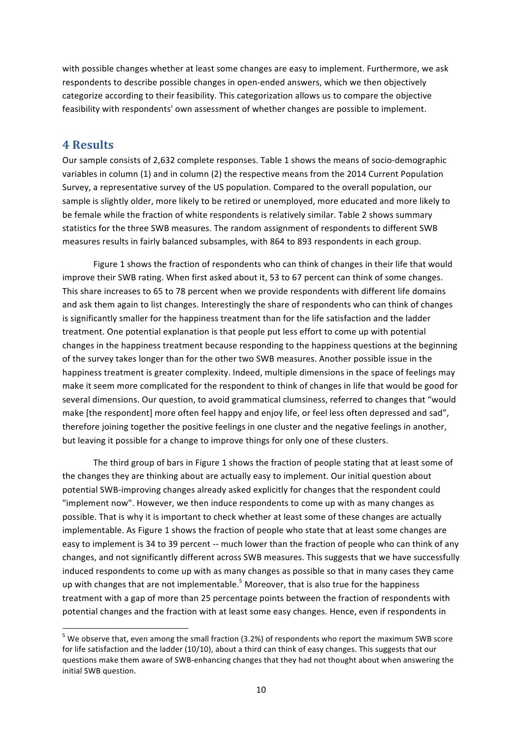with possible changes whether at least some changes are easy to implement. Furthermore, we ask respondents to describe possible changes in open-ended answers, which we then objectively categorize according to their feasibility. This categorization allows us to compare the objective feasibility with respondents' own assessment of whether changes are possible to implement.

# **4%Results**

""""""""""""""""""""""""""""""""""""""""""""""""""""""""""""

Our sample consists of 2,632 complete responses. Table 1 shows the means of socio-demographic variables in column (1) and in column (2) the respective means from the 2014 Current Population Survey, a representative survey of the US population. Compared to the overall population, our sample is slightly older, more likely to be retired or unemployed, more educated and more likely to be female while the fraction of white respondents is relatively similar. Table 2 shows summary statistics for the three SWB measures. The random assignment of respondents to different SWB measures results in fairly balanced subsamples, with 864 to 893 respondents in each group.

Figure 1 shows the fraction of respondents who can think of changes in their life that would improve their SWB rating. When first asked about it, 53 to 67 percent can think of some changes. This share increases to 65 to 78 percent when we provide respondents with different life domains and ask them again to list changes. Interestingly the share of respondents who can think of changes is significantly smaller for the happiness treatment than for the life satisfaction and the ladder treatment. One potential explanation is that people put less effort to come up with potential changes in the happiness treatment because responding to the happiness questions at the beginning of the survey takes longer than for the other two SWB measures. Another possible issue in the happiness treatment is greater complexity. Indeed, multiple dimensions in the space of feelings may make it seem more complicated for the respondent to think of changes in life that would be good for several dimensions. Our question, to avoid grammatical clumsiness, referred to changes that "would make [the respondent] more often feel happy and enjoy life, or feel less often depressed and sad", therefore joining together the positive feelings in one cluster and the negative feelings in another, but leaving it possible for a change to improve things for only one of these clusters.

The third group of bars in Figure 1 shows the fraction of people stating that at least some of the changes they are thinking about are actually easy to implement. Our initial question about potential SWB-improving changes already asked explicitly for changes that the respondent could "implement now". However, we then induce respondents to come up with as many changes as possible. That is why it is important to check whether at least some of these changes are actually implementable. As Figure 1 shows the fraction of people who state that at least some changes are easy to implement is 34 to 39 percent -- much lower than the fraction of people who can think of any changes, and not significantly different across SWB measures. This suggests that we have successfully induced respondents to come up with as many changes as possible so that in many cases they came up with changes that are not implementable. $5$  Moreover, that is also true for the happiness treatment with a gap of more than 25 percentage points between the fraction of respondents with potential changes and the fraction with at least some easy changes. Hence, even if respondents in

 $5$  We observe that, even among the small fraction (3.2%) of respondents who report the maximum SWB score for life satisfaction and the ladder (10/10), about a third can think of easy changes. This suggests that our questions make them aware of SWB-enhancing changes that they had not thought about when answering the initial SWB question.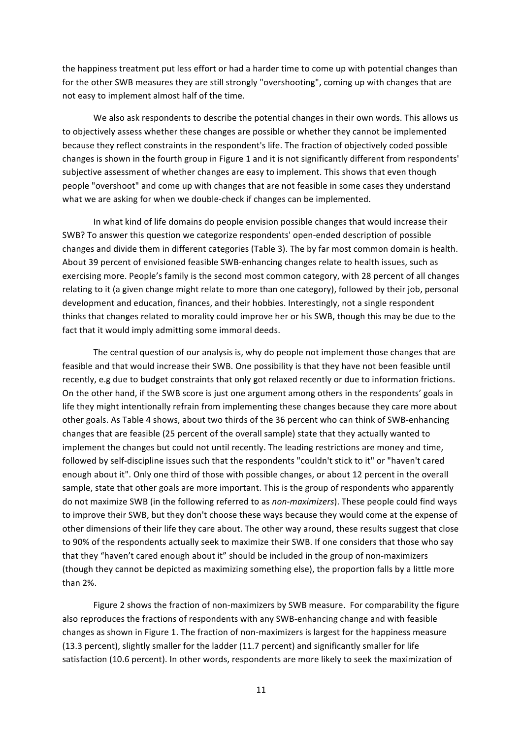the happiness treatment put less effort or had a harder time to come up with potential changes than for the other SWB measures they are still strongly "overshooting", coming up with changes that are not easy to implement almost half of the time.

We also ask respondents to describe the potential changes in their own words. This allows us to objectively assess whether these changes are possible or whether they cannot be implemented because they reflect constraints in the respondent's life. The fraction of objectively coded possible changes is shown in the fourth group in Figure 1 and it is not significantly different from respondents' subjective assessment of whether changes are easy to implement. This shows that even though people "overshoot" and come up with changes that are not feasible in some cases they understand what we are asking for when we double-check if changes can be implemented.

In what kind of life domains do people envision possible changes that would increase their SWB? To answer this question we categorize respondents' open-ended description of possible changes and divide them in different categories (Table 3). The by far most common domain is health. About 39 percent of envisioned feasible SWB-enhancing changes relate to health issues, such as exercising more. People's family is the second most common category, with 28 percent of all changes relating to it (a given change might relate to more than one category), followed by their job, personal development and education, finances, and their hobbies. Interestingly, not a single respondent thinks that changes related to morality could improve her or his SWB, though this may be due to the fact that it would imply admitting some immoral deeds.

The central question of our analysis is, why do people not implement those changes that are feasible and that would increase their SWB. One possibility is that they have not been feasible until recently, e.g due to budget constraints that only got relaxed recently or due to information frictions. On the other hand, if the SWB score is just one argument among others in the respondents' goals in life they might intentionally refrain from implementing these changes because they care more about other goals. As Table 4 shows, about two thirds of the 36 percent who can think of SWB-enhancing changes that are feasible (25 percent of the overall sample) state that they actually wanted to implement the changes but could not until recently. The leading restrictions are money and time, followed by self-discipline issues such that the respondents "couldn't stick to it" or "haven't cared enough about it". Only one third of those with possible changes, or about 12 percent in the overall sample, state that other goals are more important. This is the group of respondents who apparently do not maximize SWB (in the following referred to as *non-maximizers*). These people could find ways to improve their SWB, but they don't choose these ways because they would come at the expense of other dimensions of their life they care about. The other way around, these results suggest that close to 90% of the respondents actually seek to maximize their SWB. If one considers that those who say that they "haven't cared enough about it" should be included in the group of non-maximizers (though they cannot be depicted as maximizing something else), the proportion falls by a little more than 2%.

Figure 2 shows the fraction of non-maximizers by SWB measure. For comparability the figure also reproduces the fractions of respondents with any SWB-enhancing change and with feasible changes as shown in Figure 1. The fraction of non-maximizers is largest for the happiness measure (13.3 percent), slightly smaller for the ladder (11.7 percent) and significantly smaller for life satisfaction (10.6 percent). In other words, respondents are more likely to seek the maximization of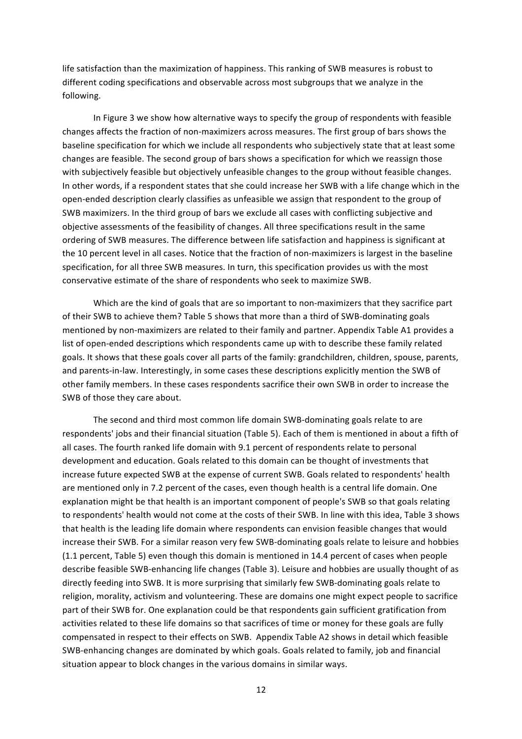life satisfaction than the maximization of happiness. This ranking of SWB measures is robust to different coding specifications and observable across most subgroups that we analyze in the following.

In Figure 3 we show how alternative ways to specify the group of respondents with feasible changes affects the fraction of non-maximizers across measures. The first group of bars shows the baseline specification for which we include all respondents who subjectively state that at least some changes are feasible. The second group of bars shows a specification for which we reassign those with subjectively feasible but objectively unfeasible changes to the group without feasible changes. In other words, if a respondent states that she could increase her SWB with a life change which in the open-ended description clearly classifies as unfeasible we assign that respondent to the group of SWB maximizers. In the third group of bars we exclude all cases with conflicting subjective and objective assessments of the feasibility of changes. All three specifications result in the same ordering of SWB measures. The difference between life satisfaction and happiness is significant at the 10 percent level in all cases. Notice that the fraction of non-maximizers is largest in the baseline specification, for all three SWB measures. In turn, this specification provides us with the most conservative estimate of the share of respondents who seek to maximize SWB.

Which are the kind of goals that are so important to non-maximizers that they sacrifice part of their SWB to achieve them? Table 5 shows that more than a third of SWB-dominating goals mentioned by non-maximizers are related to their family and partner. Appendix Table A1 provides a list of open-ended descriptions which respondents came up with to describe these family related goals. It shows that these goals cover all parts of the family: grandchildren, children, spouse, parents, and parents-in-law. Interestingly, in some cases these descriptions explicitly mention the SWB of other family members. In these cases respondents sacrifice their own SWB in order to increase the SWB of those they care about.

The second and third most common life domain SWB-dominating goals relate to are respondents' jobs and their financial situation (Table 5). Each of them is mentioned in about a fifth of all cases. The fourth ranked life domain with 9.1 percent of respondents relate to personal development and education. Goals related to this domain can be thought of investments that increase future expected SWB at the expense of current SWB. Goals related to respondents' health are mentioned only in 7.2 percent of the cases, even though health is a central life domain. One explanation might be that health is an important component of people's SWB so that goals relating to respondents' health would not come at the costs of their SWB. In line with this idea, Table 3 shows that health is the leading life domain where respondents can envision feasible changes that would increase their SWB. For a similar reason very few SWB-dominating goals relate to leisure and hobbies (1.1 percent, Table 5) even though this domain is mentioned in 14.4 percent of cases when people describe feasible SWB-enhancing life changes (Table 3). Leisure and hobbies are usually thought of as directly feeding into SWB. It is more surprising that similarly few SWB-dominating goals relate to religion, morality, activism and volunteering. These are domains one might expect people to sacrifice part of their SWB for. One explanation could be that respondents gain sufficient gratification from activities related to these life domains so that sacrifices of time or money for these goals are fully compensated in respect to their effects on SWB. Appendix Table A2 shows in detail which feasible SWB-enhancing changes are dominated by which goals. Goals related to family, job and financial situation appear to block changes in the various domains in similar ways.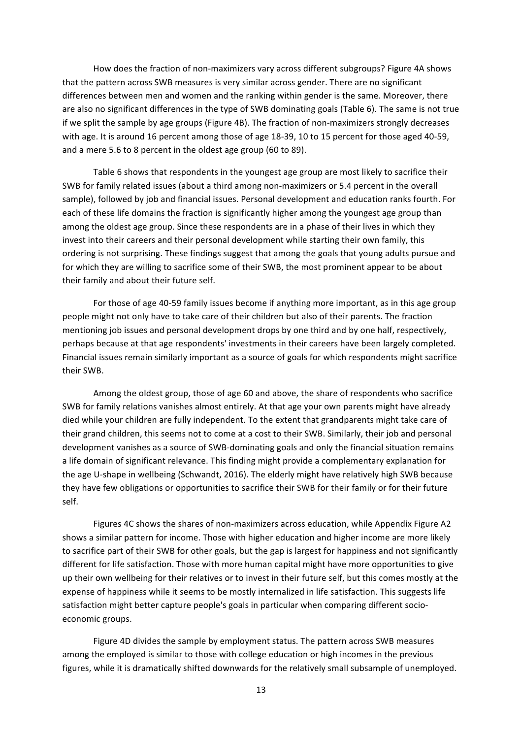How does the fraction of non-maximizers vary across different subgroups? Figure 4A shows that the pattern across SWB measures is very similar across gender. There are no significant differences between men and women and the ranking within gender is the same. Moreover, there are also no significant differences in the type of SWB dominating goals (Table 6). The same is not true if we split the sample by age groups (Figure 4B). The fraction of non-maximizers strongly decreases with age. It is around 16 percent among those of age 18-39, 10 to 15 percent for those aged 40-59, and a mere 5.6 to 8 percent in the oldest age group (60 to 89).

Table 6 shows that respondents in the youngest age group are most likely to sacrifice their SWB for family related issues (about a third among non-maximizers or 5.4 percent in the overall sample), followed by job and financial issues. Personal development and education ranks fourth. For each of these life domains the fraction is significantly higher among the youngest age group than among the oldest age group. Since these respondents are in a phase of their lives in which they invest into their careers and their personal development while starting their own family, this ordering is not surprising. These findings suggest that among the goals that young adults pursue and for which they are willing to sacrifice some of their SWB, the most prominent appear to be about their family and about their future self.

For those of age 40-59 family issues become if anything more important, as in this age group people might not only have to take care of their children but also of their parents. The fraction mentioning job issues and personal development drops by one third and by one half, respectively, perhaps because at that age respondents' investments in their careers have been largely completed. Financial issues remain similarly important as a source of goals for which respondents might sacrifice their SWB.

Among the oldest group, those of age 60 and above, the share of respondents who sacrifice SWB for family relations vanishes almost entirely. At that age your own parents might have already died while your children are fully independent. To the extent that grandparents might take care of their grand children, this seems not to come at a cost to their SWB. Similarly, their job and personal development vanishes as a source of SWB-dominating goals and only the financial situation remains a life domain of significant relevance. This finding might provide a complementary explanation for the age U-shape in wellbeing (Schwandt, 2016). The elderly might have relatively high SWB because they have few obligations or opportunities to sacrifice their SWB for their family or for their future self.

Figures 4C shows the shares of non-maximizers across education, while Appendix Figure A2 shows a similar pattern for income. Those with higher education and higher income are more likely to sacrifice part of their SWB for other goals, but the gap is largest for happiness and not significantly different for life satisfaction. Those with more human capital might have more opportunities to give up their own wellbeing for their relatives or to invest in their future self, but this comes mostly at the expense of happiness while it seems to be mostly internalized in life satisfaction. This suggests life satisfaction might better capture people's goals in particular when comparing different socioeconomic groups.

Figure 4D divides the sample by employment status. The pattern across SWB measures among the employed is similar to those with college education or high incomes in the previous figures, while it is dramatically shifted downwards for the relatively small subsample of unemployed.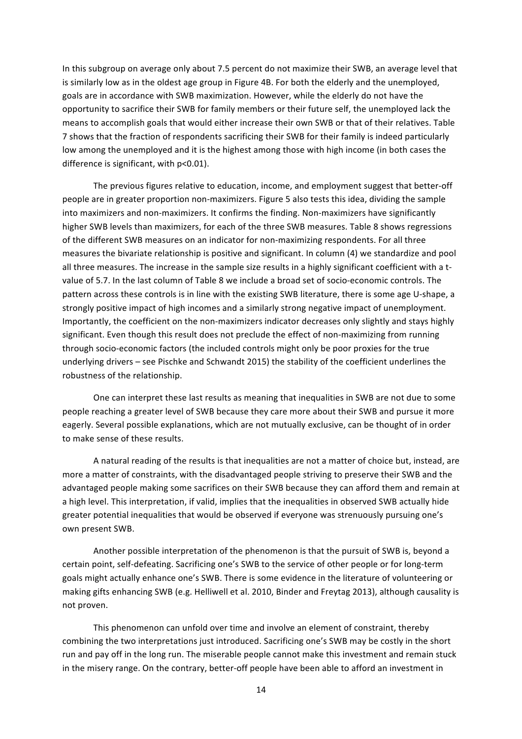In this subgroup on average only about 7.5 percent do not maximize their SWB, an average level that is similarly low as in the oldest age group in Figure 4B. For both the elderly and the unemployed, goals are in accordance with SWB maximization. However, while the elderly do not have the opportunity to sacrifice their SWB for family members or their future self, the unemployed lack the means to accomplish goals that would either increase their own SWB or that of their relatives. Table 7 shows that the fraction of respondents sacrificing their SWB for their family is indeed particularly low among the unemployed and it is the highest among those with high income (in both cases the difference is significant, with  $p<0.01$ ).

The previous figures relative to education, income, and employment suggest that better-off people are in greater proportion non-maximizers. Figure 5 also tests this idea, dividing the sample into maximizers and non-maximizers. It confirms the finding. Non-maximizers have significantly higher SWB levels than maximizers, for each of the three SWB measures. Table 8 shows regressions of the different SWB measures on an indicator for non-maximizing respondents. For all three measures the bivariate relationship is positive and significant. In column (4) we standardize and pool all three measures. The increase in the sample size results in a highly significant coefficient with a tvalue of 5.7. In the last column of Table 8 we include a broad set of socio-economic controls. The pattern across these controls is in line with the existing SWB literature, there is some age U-shape, a strongly positive impact of high incomes and a similarly strong negative impact of unemployment. Importantly, the coefficient on the non-maximizers indicator decreases only slightly and stays highly significant. Even though this result does not preclude the effect of non-maximizing from running through socio-economic factors (the included controls might only be poor proxies for the true underlying drivers – see Pischke and Schwandt 2015) the stability of the coefficient underlines the robustness of the relationship.

One can interpret these last results as meaning that inequalities in SWB are not due to some people reaching a greater level of SWB because they care more about their SWB and pursue it more eagerly. Several possible explanations, which are not mutually exclusive, can be thought of in order to make sense of these results.

A natural reading of the results is that inequalities are not a matter of choice but, instead, are more a matter of constraints, with the disadvantaged people striving to preserve their SWB and the advantaged people making some sacrifices on their SWB because they can afford them and remain at a high level. This interpretation, if valid, implies that the inequalities in observed SWB actually hide greater potential inequalities that would be observed if everyone was strenuously pursuing one's own present SWB.

Another possible interpretation of the phenomenon is that the pursuit of SWB is, beyond a certain point, self-defeating. Sacrificing one's SWB to the service of other people or for long-term goals might actually enhance one's SWB. There is some evidence in the literature of volunteering or making gifts enhancing SWB (e.g. Helliwell et al. 2010, Binder and Freytag 2013), although causality is not proven.

This phenomenon can unfold over time and involve an element of constraint, thereby combining the two interpretations just introduced. Sacrificing one's SWB may be costly in the short run and pay off in the long run. The miserable people cannot make this investment and remain stuck in the misery range. On the contrary, better-off people have been able to afford an investment in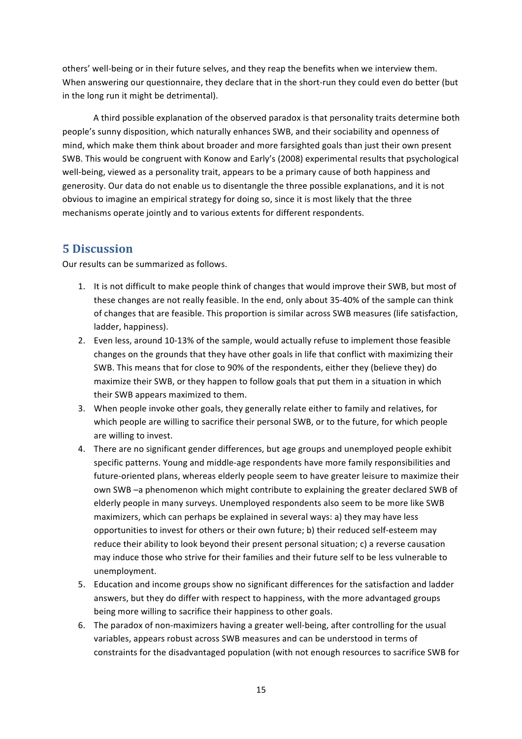others' well-being or in their future selves, and they reap the benefits when we interview them. When answering our questionnaire, they declare that in the short-run they could even do better (but in the long run it might be detrimental).

A third possible explanation of the observed paradox is that personality traits determine both people's sunny disposition, which naturally enhances SWB, and their sociability and openness of mind, which make them think about broader and more farsighted goals than just their own present SWB. This would be congruent with Konow and Early's (2008) experimental results that psychological well-being, viewed as a personality trait, appears to be a primary cause of both happiness and generosity. Our data do not enable us to disentangle the three possible explanations, and it is not obvious to imagine an empirical strategy for doing so, since it is most likely that the three mechanisms operate jointly and to various extents for different respondents.

# **5 Discussion**

Our results can be summarized as follows.

- 1. It is not difficult to make people think of changes that would improve their SWB, but most of these changes are not really feasible. In the end, only about 35-40% of the sample can think of changes that are feasible. This proportion is similar across SWB measures (life satisfaction, ladder, happiness).
- 2. Even less, around 10-13% of the sample, would actually refuse to implement those feasible changes on the grounds that they have other goals in life that conflict with maximizing their SWB. This means that for close to 90% of the respondents, either they (believe they) do maximize their SWB, or they happen to follow goals that put them in a situation in which their SWB appears maximized to them.
- 3. When people invoke other goals, they generally relate either to family and relatives, for which people are willing to sacrifice their personal SWB, or to the future, for which people are willing to invest.
- 4. There are no significant gender differences, but age groups and unemployed people exhibit specific patterns. Young and middle-age respondents have more family responsibilities and future-oriented plans, whereas elderly people seem to have greater leisure to maximize their own SWB –a phenomenon which might contribute to explaining the greater declared SWB of elderly people in many surveys. Unemployed respondents also seem to be more like SWB maximizers, which can perhaps be explained in several ways: a) they may have less opportunities to invest for others or their own future; b) their reduced self-esteem may reduce their ability to look beyond their present personal situation; c) a reverse causation may induce those who strive for their families and their future self to be less vulnerable to unemployment.
- 5. Education and income groups show no significant differences for the satisfaction and ladder answers, but they do differ with respect to happiness, with the more advantaged groups being more willing to sacrifice their happiness to other goals.
- 6. The paradox of non-maximizers having a greater well-being, after controlling for the usual variables, appears robust across SWB measures and can be understood in terms of constraints for the disadvantaged population (with not enough resources to sacrifice SWB for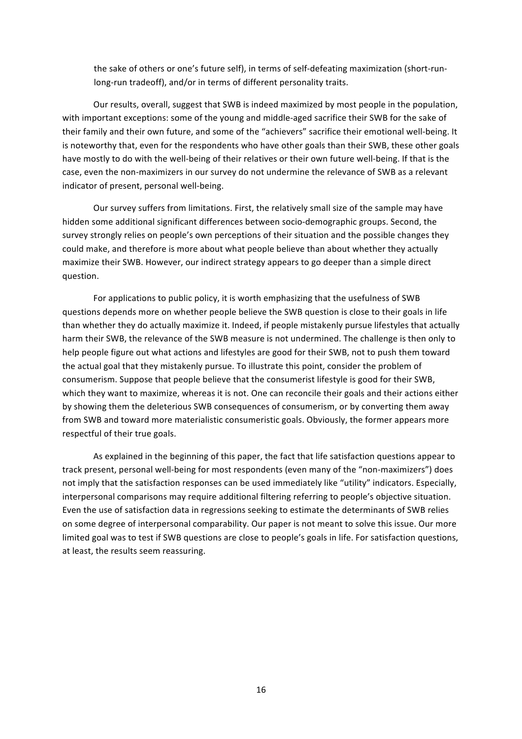the sake of others or one's future self), in terms of self-defeating maximization (short-runlong-run tradeoff), and/or in terms of different personality traits.

Our results, overall, suggest that SWB is indeed maximized by most people in the population, with important exceptions: some of the young and middle-aged sacrifice their SWB for the sake of their family and their own future, and some of the "achievers" sacrifice their emotional well-being. It is noteworthy that, even for the respondents who have other goals than their SWB, these other goals have mostly to do with the well-being of their relatives or their own future well-being. If that is the case, even the non-maximizers in our survey do not undermine the relevance of SWB as a relevant indicator of present, personal well-being.

Our survey suffers from limitations. First, the relatively small size of the sample may have hidden some additional significant differences between socio-demographic groups. Second, the survey strongly relies on people's own perceptions of their situation and the possible changes they could make, and therefore is more about what people believe than about whether they actually maximize their SWB. However, our indirect strategy appears to go deeper than a simple direct question.

For applications to public policy, it is worth emphasizing that the usefulness of SWB questions depends more on whether people believe the SWB question is close to their goals in life than whether they do actually maximize it. Indeed, if people mistakenly pursue lifestyles that actually harm their SWB, the relevance of the SWB measure is not undermined. The challenge is then only to help people figure out what actions and lifestyles are good for their SWB, not to push them toward the actual goal that they mistakenly pursue. To illustrate this point, consider the problem of consumerism. Suppose that people believe that the consumerist lifestyle is good for their SWB, which they want to maximize, whereas it is not. One can reconcile their goals and their actions either by showing them the deleterious SWB consequences of consumerism, or by converting them away from SWB and toward more materialistic consumeristic goals. Obviously, the former appears more respectful of their true goals.

As explained in the beginning of this paper, the fact that life satisfaction questions appear to track present, personal well-being for most respondents (even many of the "non-maximizers") does not imply that the satisfaction responses can be used immediately like "utility" indicators. Especially, interpersonal comparisons may require additional filtering referring to people's objective situation. Even the use of satisfaction data in regressions seeking to estimate the determinants of SWB relies on some degree of interpersonal comparability. Our paper is not meant to solve this issue. Our more limited goal was to test if SWB questions are close to people's goals in life. For satisfaction questions, at least, the results seem reassuring.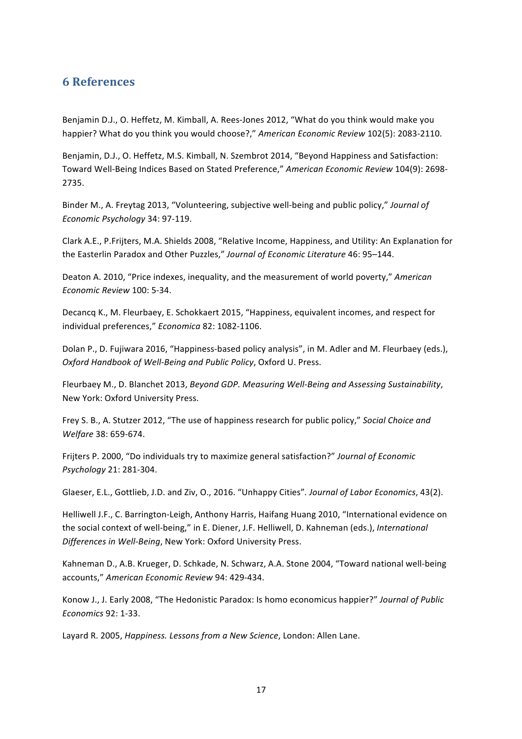## **6%References**

Benjamin D.J., O. Heffetz, M. Kimball, A. Rees-Jones 2012, "What do you think would make you happier? What do you think you would choose?," American *Economic Review* 102(5): 2083-2110.

Benjamin, D.J., O. Heffetz, M.S. Kimball, N. Szembrot 2014, "Beyond Happiness and Satisfaction: Toward Well-Being Indices Based on Stated Preference," American Economic Review 104(9): 2698-2735.

Binder M., A. Freytag 2013, "Volunteering, subjective well-being and public policy," *Journal of Economic Psychology* 34: 97-119.

Clark A.E., P.Frijters, M.A. Shields 2008, "Relative Income, Happiness, and Utility: An Explanation for the Easterlin Paradox and Other Puzzles," Journal of Economic Literature 46: 95-144.

Deaton A. 2010, "Price indexes, inequality, and the measurement of world poverty," American *Economic Review* 100: 5-34.

Decancq K., M. Fleurbaey, E. Schokkaert 2015, "Happiness, equivalent incomes, and respect for individual preferences," Economica 82: 1082-1106.

Dolan P., D. Fujiwara 2016, "Happiness-based policy analysis", in M. Adler and M. Fleurbaey (eds.), *Oxford Handbook of Well-Being and Public Policy, Oxford U. Press.* 

Fleurbaey M., D. Blanchet 2013, *Beyond GDP. Measuring Well-Being and Assessing Sustainability*, New York: Oxford University Press.

Frey S. B., A. Stutzer 2012, "The use of happiness research for public policy," Social Choice and *Welfare* 38: 659-674.

Frijters P. 2000, "Do individuals try to maximize general satisfaction?" Journal of Economic *Psychology* 21: 281-304.

Glaeser, E.L., Gottlieb, J.D. and Ziv, O., 2016. "Unhappy Cities". Journal of Labor Economics, 43(2).

Helliwell J.F., C. Barrington-Leigh, Anthony Harris, Haifang Huang 2010, "International evidence on the social context of well-being," in E. Diener, J.F. Helliwell, D. Kahneman (eds.), *International* Differences in Well-Being, New York: Oxford University Press.

Kahneman D., A.B. Krueger, D. Schkade, N. Schwarz, A.A. Stone 2004, "Toward national well-being accounts," American Economic Review 94: 429-434.

Konow J., J. Early 2008, "The Hedonistic Paradox: Is homo economicus happier?" Journal of Public *Economics* 92: 1-33.

Layard R. 2005, *Happiness. Lessons from a New Science*, London: Allen Lane.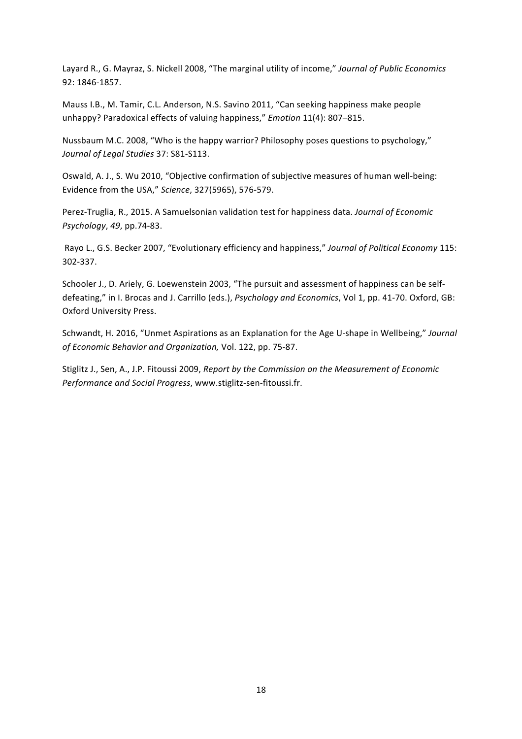Layard R., G. Mayraz, S. Nickell 2008, "The marginal utility of income," *Journal of Public Economics* 92: 1846-1857.

Mauss I.B., M. Tamir, C.L. Anderson, N.S. Savino 2011, "Can seeking happiness make people unhappy? Paradoxical effects of valuing happiness," *Emotion* 11(4): 807–815.

Nussbaum M.C. 2008, "Who is the happy warrior? Philosophy poses questions to psychology," Journal of Legal Studies 37: S81-S113.

Oswald, A. J., S. Wu 2010, "Objective confirmation of subjective measures of human well-being: Evidence from the USA," Science, 327(5965), 576-579.

Perez-Truglia, R., 2015. A Samuelsonian validation test for happiness data. *Journal of Economic Psychology*, 49, pp.74-83.

Rayo L., G.S. Becker 2007, "Evolutionary efficiency and happiness," *Journal of Political Economy* 115: 302-337.

Schooler J., D. Ariely, G. Loewenstein 2003, "The pursuit and assessment of happiness can be selfdefeating," in I. Brocas and J. Carrillo (eds.), *Psychology and Economics*, Vol 1, pp. 41-70. Oxford, GB: Oxford University Press.

Schwandt, H. 2016, "Unmet Aspirations as an Explanation for the Age U-shape in Wellbeing," Journal of Economic Behavior and Organization, Vol. 122, pp. 75-87.

Stiglitz J., Sen, A., J.P. Fitoussi 2009, Report by the Commission on the Measurement of Economic *Performance and Social Progress*, www.stiglitz-sen-fitoussi.fr.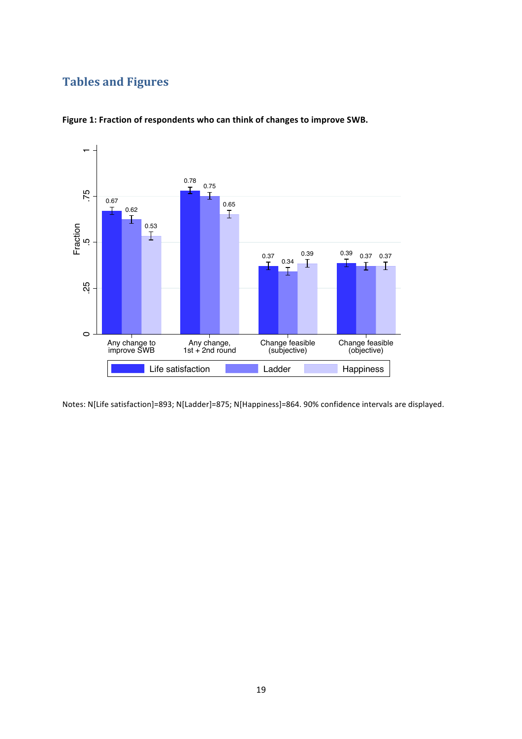# **Tables and Figures**



Figure 1: Fraction of respondents who can think of changes to improve SWB.

Notes: N[Life satisfaction]=893; N[Ladder]=875; N[Happiness]=864. 90% confidence intervals are displayed.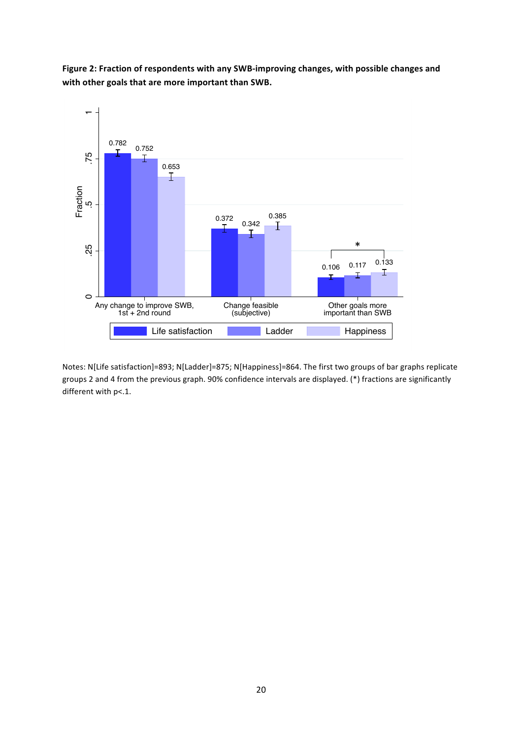Figure 2: Fraction of respondents with any SWB-improving changes, with possible changes and with other goals that are more important than SWB.



Notes: N[Life satisfaction]=893; N[Ladder]=875; N[Happiness]=864. The first two groups of bar graphs replicate groups 2 and 4 from the previous graph. 90% confidence intervals are displayed. (\*) fractions are significantly different with p<.1.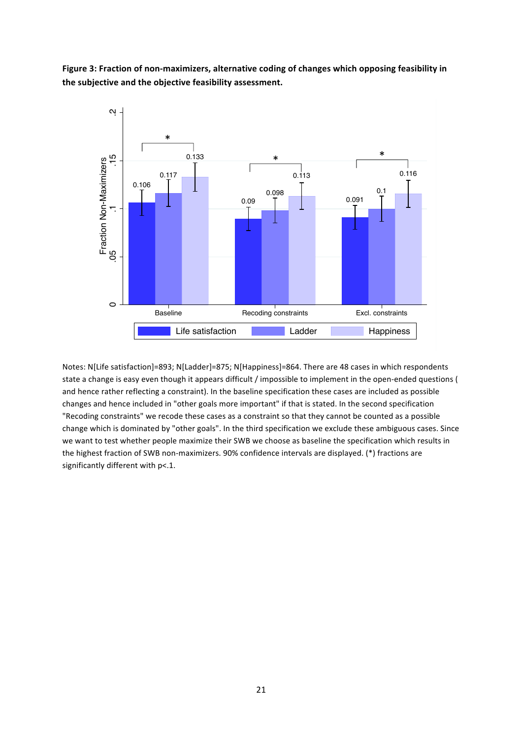Figure 3: Fraction of non-maximizers, alternative coding of changes which opposing feasibility in the subjective and the objective feasibility assessment.



Notes: N[Life satisfaction]=893; N[Ladder]=875; N[Happiness]=864. There are 48 cases in which respondents state a change is easy even though it appears difficult / impossible to implement in the open-ended questions ( and hence rather reflecting a constraint). In the baseline specification these cases are included as possible changes and hence included in "other goals more important" if that is stated. In the second specification "Recoding constraints" we recode these cases as a constraint so that they cannot be counted as a possible change which is dominated by "other goals". In the third specification we exclude these ambiguous cases. Since we want to test whether people maximize their SWB we choose as baseline the specification which results in the highest fraction of SWB non-maximizers. 90% confidence intervals are displayed. (\*) fractions are significantly different with p<.1.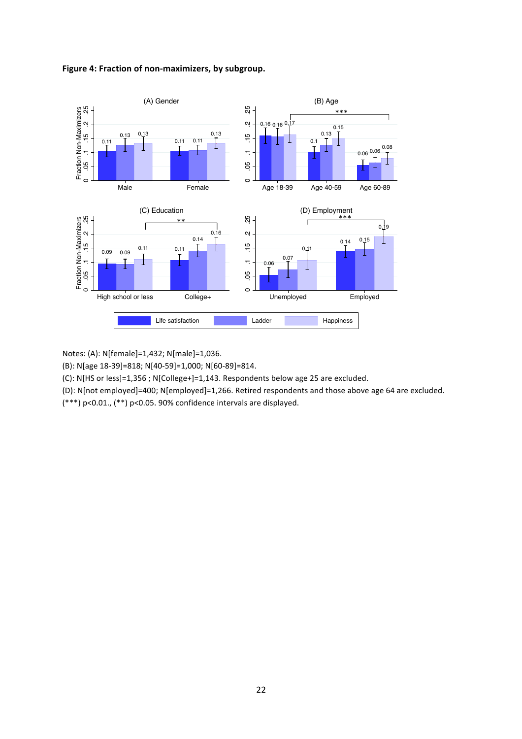



Notes: (A): N[female]=1,432; N[male]=1,036.

(B): N[age 18-39]=818; N[40-59]=1,000; N[60-89]=814.

(C): N[HS or less]=1,356 ; N[College+]=1,143. Respondents below age 25 are excluded.

(D): N[not employed]=400; N[employed]=1,266. Retired respondents and those above age 64 are excluded.

 $(***)$  p<0.01.,  $(**)$  p<0.05. 90% confidence intervals are displayed.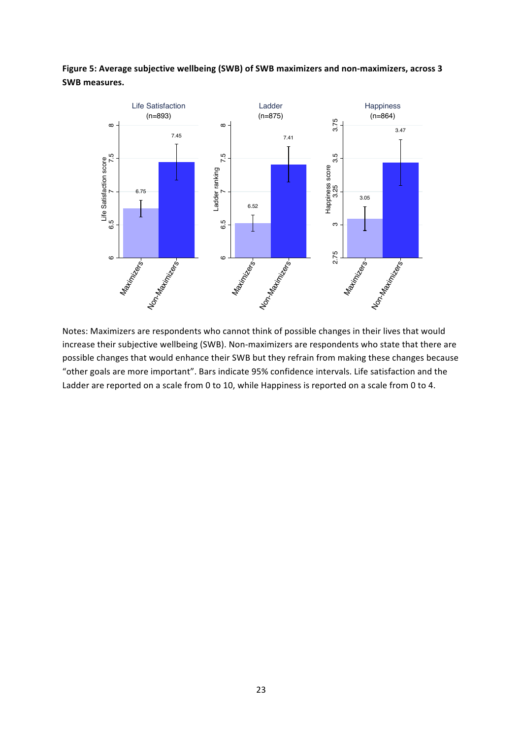

## Figure 5: Average subjective wellbeing (SWB) of SWB maximizers and non-maximizers, across 3 **SWB'measures.**

Notes: Maximizers are respondents who cannot think of possible changes in their lives that would increase their subjective wellbeing (SWB). Non-maximizers are respondents who state that there are possible changes that would enhance their SWB but they refrain from making these changes because "other goals are more important". Bars indicate 95% confidence intervals. Life satisfaction and the Ladder are reported on a scale from 0 to 10, while Happiness is reported on a scale from 0 to 4.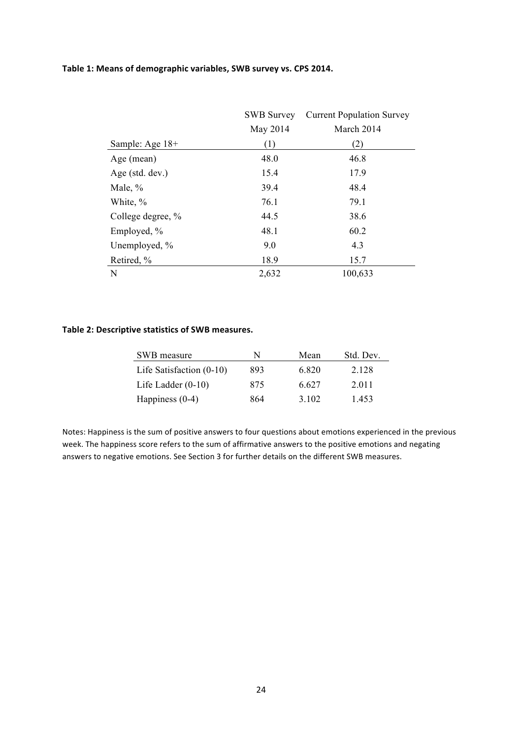#### Table 1: Means of demographic variables, SWB survey vs. CPS 2014.

|                   | <b>SWB Survey</b> | <b>Current Population Survey</b> |
|-------------------|-------------------|----------------------------------|
|                   | May 2014          | March 2014                       |
| Sample: Age 18+   | (1)               | (2)                              |
| Age (mean)        | 48.0              | 46.8                             |
| Age (std. dev.)   | 15.4              | 17.9                             |
| Male, $%$         | 39.4              | 48.4                             |
| White, %          | 76.1              | 79.1                             |
| College degree, % | 44.5              | 38.6                             |
| Employed, %       | 48.1              | 60.2                             |
| Unemployed, %     | 9.0               | 4.3                              |
| Retired, %        | 18.9              | 15.7                             |
| N                 | 2,632             | 100,633                          |

#### Table 2: Descriptive statistics of SWB measures.

| SWB measure                | N   | Mean  | Std. Dev. |
|----------------------------|-----|-------|-----------|
| Life Satisfaction $(0-10)$ | 893 | 6.820 | 2.128     |
| Life Ladder $(0-10)$       | 875 | 6.627 | 2.011     |
| Happiness $(0-4)$          | 864 | 3 102 | 1453      |

Notes: Happiness is the sum of positive answers to four questions about emotions experienced in the previous week. The happiness score refers to the sum of affirmative answers to the positive emotions and negating answers to negative emotions. See Section 3 for further details on the different SWB measures.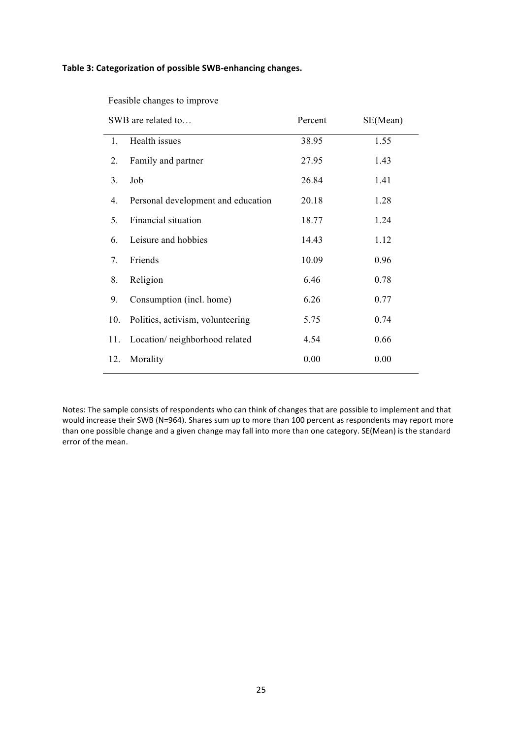#### Table 3: Categorization of possible SWB-enhancing changes.

Feasible changes to improve

|     | SWB are related to                 | Percent | SE(Mean) |
|-----|------------------------------------|---------|----------|
| 1.  | Health issues                      | 38.95   | 1.55     |
| 2.  | Family and partner                 | 27.95   | 1.43     |
| 3.  | Job                                | 26.84   | 1.41     |
| 4.  | Personal development and education | 20.18   | 1.28     |
| 5.  | Financial situation                | 18.77   | 1.24     |
| 6.  | Leisure and hobbies                | 14.43   | 1.12     |
| 7.  | Friends                            | 10.09   | 0.96     |
| 8.  | Religion                           | 6.46    | 0.78     |
| 9.  | Consumption (incl. home)           | 6.26    | 0.77     |
| 10. | Politics, activism, volunteering   | 5.75    | 0.74     |
| 11. | Location/neighborhood related      | 4.54    | 0.66     |
| 12. | Morality                           | 0.00    | 0.00     |

Notes: The sample consists of respondents who can think of changes that are possible to implement and that would increase their SWB (N=964). Shares sum up to more than 100 percent as respondents may report more than one possible change and a given change may fall into more than one category. SE(Mean) is the standard error of the mean.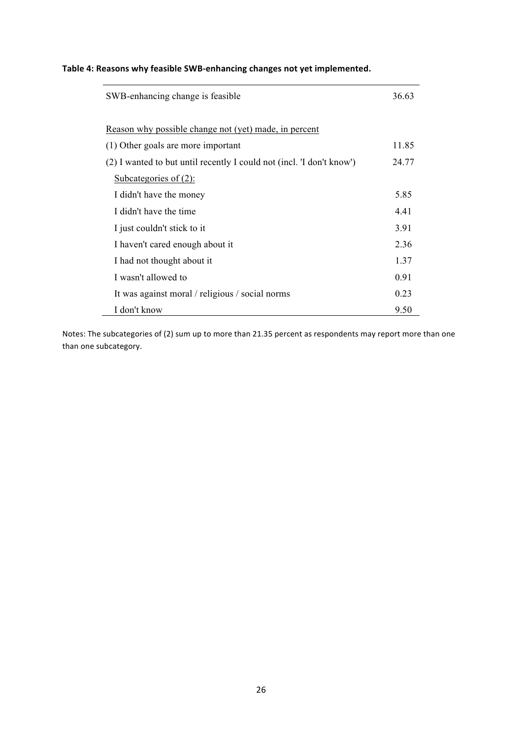## Table 4: Reasons why feasible SWB-enhancing changes not yet implemented.

| SWB-enhancing change is feasible                                      | 36.63 |
|-----------------------------------------------------------------------|-------|
| Reason why possible change not (yet) made, in percent                 |       |
| (1) Other goals are more important                                    | 11.85 |
| (2) I wanted to but until recently I could not (incl. 'I don't know') | 24.77 |
| <u>Subcategories of (2):</u>                                          |       |
| I didn't have the money                                               | 5.85  |
| I didn't have the time                                                | 4.41  |
| I just couldn't stick to it                                           | 3.91  |
| I haven't cared enough about it                                       | 2.36  |
| I had not thought about it                                            | 1.37  |
| I wasn't allowed to                                                   | 0.91  |
| It was against moral / religious / social norms                       | 0.23  |
| I don't know                                                          | 9.50  |

Notes: The subcategories of (2) sum up to more than 21.35 percent as respondents may report more than one than one subcategory.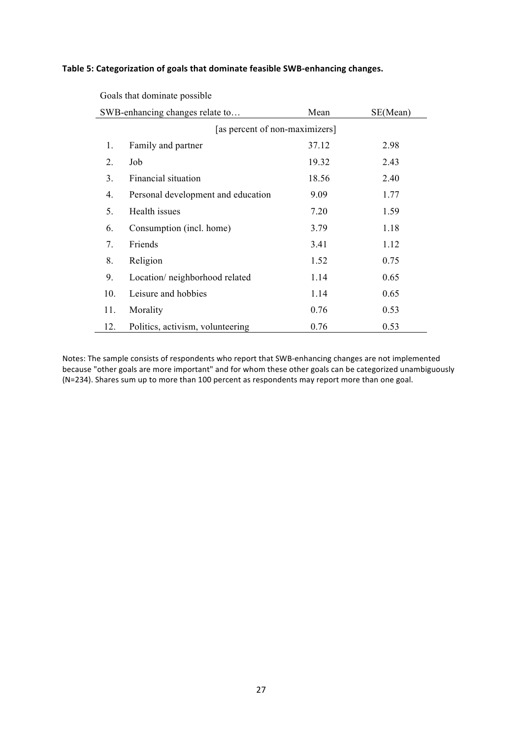#### Table 5: Categorization of goals that dominate feasible SWB-enhancing changes.

Goals that dominate possible

|                                | SWB-enhancing changes relate to    | Mean  | SE(Mean) |  |  |  |  |
|--------------------------------|------------------------------------|-------|----------|--|--|--|--|
| [as percent of non-maximizers] |                                    |       |          |  |  |  |  |
| 1.                             | Family and partner                 | 37.12 | 2.98     |  |  |  |  |
| $\overline{2}$ .               | Job                                | 19.32 | 2.43     |  |  |  |  |
| 3.                             | Financial situation                | 18.56 | 2.40     |  |  |  |  |
| 4.                             | Personal development and education | 9.09  | 1.77     |  |  |  |  |
| 5.                             | Health issues                      | 7.20  | 1.59     |  |  |  |  |
| 6.                             | Consumption (incl. home)           | 3.79  | 1.18     |  |  |  |  |
| 7.                             | Friends                            | 3.41  | 1.12     |  |  |  |  |
| 8.                             | Religion                           | 1.52  | 0.75     |  |  |  |  |
| 9.                             | Location/neighborhood related      | 1.14  | 0.65     |  |  |  |  |
| 10.                            | Leisure and hobbies                | 1.14  | 0.65     |  |  |  |  |
| 11.                            | Morality                           | 0.76  | 0.53     |  |  |  |  |
| 12.                            | Politics, activism, volunteering   | 0.76  | 0.53     |  |  |  |  |

Notes: The sample consists of respondents who report that SWB-enhancing changes are not implemented because "other goals are more important" and for whom these other goals can be categorized unambiguously (N=234). Shares sum up to more than 100 percent as respondents may report more than one goal.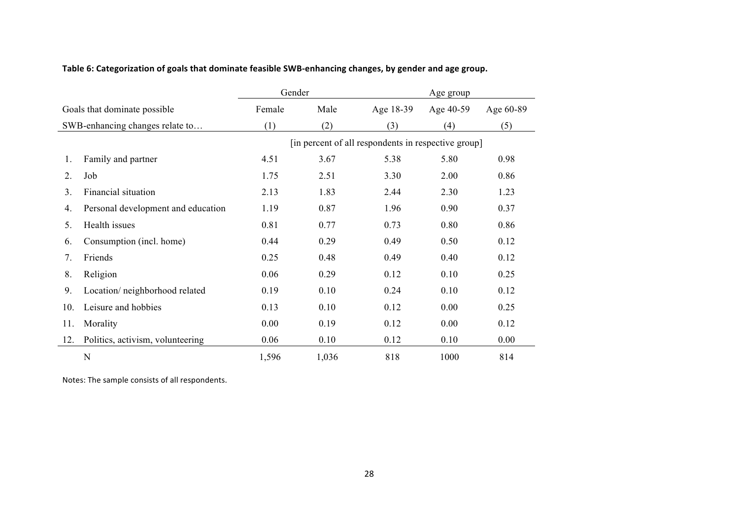## Table 6: Categorization of goals that dominate feasible SWB-enhancing changes, by gender and age group.

|                              |                                    | Gender                                              |       |           | Age group |           |  |  |  |  |
|------------------------------|------------------------------------|-----------------------------------------------------|-------|-----------|-----------|-----------|--|--|--|--|
| Goals that dominate possible |                                    | Female                                              | Male  | Age 18-39 | Age 40-59 | Age 60-89 |  |  |  |  |
|                              | SWB-enhancing changes relate to    | (1)                                                 | (2)   | (3)       | (4)       | (5)       |  |  |  |  |
|                              |                                    | [in percent of all respondents in respective group] |       |           |           |           |  |  |  |  |
| 1.                           | Family and partner                 | 4.51                                                | 3.67  | 5.38      | 5.80      | 0.98      |  |  |  |  |
| 2.                           | Job                                | 1.75                                                | 2.51  | 3.30      | 2.00      | 0.86      |  |  |  |  |
| 3.                           | Financial situation                | 2.13                                                | 1.83  | 2.44      | 2.30      | 1.23      |  |  |  |  |
| 4.                           | Personal development and education | 1.19                                                | 0.87  | 1.96      | 0.90      | 0.37      |  |  |  |  |
| 5.                           | Health issues                      | 0.81                                                | 0.77  | 0.73      | 0.80      | 0.86      |  |  |  |  |
| 6.                           | Consumption (incl. home)           | 0.44                                                | 0.29  | 0.49      | 0.50      | 0.12      |  |  |  |  |
| 7.                           | Friends                            | 0.25                                                | 0.48  | 0.49      | 0.40      | 0.12      |  |  |  |  |
| 8.                           | Religion                           | 0.06                                                | 0.29  | 0.12      | 0.10      | 0.25      |  |  |  |  |
| 9.                           | Location/neighborhood related      | 0.19                                                | 0.10  | 0.24      | 0.10      | 0.12      |  |  |  |  |
| 10.                          | Leisure and hobbies                | 0.13                                                | 0.10  | 0.12      | 0.00      | 0.25      |  |  |  |  |
| 11.                          | Morality                           | 0.00                                                | 0.19  | 0.12      | 0.00      | 0.12      |  |  |  |  |
| 12.                          | Politics, activism, volunteering   | 0.06                                                | 0.10  | 0.12      | 0.10      | 0.00      |  |  |  |  |
|                              | $\mathbf N$                        | 1,596                                               | 1,036 | 818       | 1000      | 814       |  |  |  |  |

Notes: The sample consists of all respondents.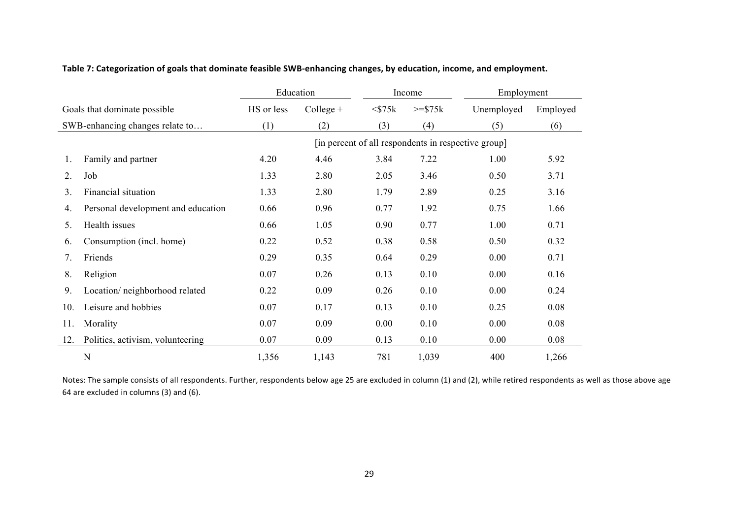|     |                                    | Education                                           |             |              | Income             | Employment |          |  |  |  |
|-----|------------------------------------|-----------------------------------------------------|-------------|--------------|--------------------|------------|----------|--|--|--|
|     | Goals that dominate possible       | HS or less                                          | $Collect +$ | $<$ \$75 $k$ | $>=\frac{$75k}{ }$ | Unemployed | Employed |  |  |  |
|     | SWB-enhancing changes relate to    | (1)                                                 | (2)         | (3)          | (4)                | (5)        | (6)      |  |  |  |
|     |                                    | [in percent of all respondents in respective group] |             |              |                    |            |          |  |  |  |
| 1.  | Family and partner                 | 4.20                                                | 4.46        | 3.84         | 7.22               | 1.00       | 5.92     |  |  |  |
| 2.  | Job                                | 1.33                                                | 2.80        | 2.05         | 3.46               | 0.50       | 3.71     |  |  |  |
| 3.  | Financial situation                | 1.33                                                | 2.80        | 1.79         | 2.89               | 0.25       | 3.16     |  |  |  |
| 4.  | Personal development and education | 0.66                                                | 0.96        | 0.77         | 1.92               | 0.75       | 1.66     |  |  |  |
| 5.  | Health issues                      | 0.66                                                | 1.05        | 0.90         | 0.77               | 1.00       | 0.71     |  |  |  |
| 6.  | Consumption (incl. home)           | 0.22                                                | 0.52        | 0.38         | 0.58               | 0.50       | 0.32     |  |  |  |
| 7.  | Friends                            | 0.29                                                | 0.35        | 0.64         | 0.29               | 0.00       | 0.71     |  |  |  |
| 8.  | Religion                           | 0.07                                                | 0.26        | 0.13         | 0.10               | 0.00       | 0.16     |  |  |  |
| 9.  | Location/neighborhood related      | 0.22                                                | 0.09        | 0.26         | 0.10               | 0.00       | 0.24     |  |  |  |
| 10. | Leisure and hobbies                | 0.07                                                | 0.17        | 0.13         | 0.10               | 0.25       | 0.08     |  |  |  |
| 11. | Morality                           | 0.07                                                | 0.09        | 0.00         | 0.10               | 0.00       | 0.08     |  |  |  |
| 12. | Politics, activism, volunteering   | 0.07                                                | 0.09        | 0.13         | 0.10               | 0.00       | 0.08     |  |  |  |
|     | N                                  | 1,356                                               | 1,143       | 781          | 1,039              | 400        | 1,266    |  |  |  |

#### Table 7: Categorization of goals that dominate feasible SWB-enhancing changes, by education, income, and employment.

Notes: The sample consists of all respondents. Further, respondents below age 25 are excluded in column (1) and (2), while retired respondents as well as those above age 64 are excluded in columns (3) and (6).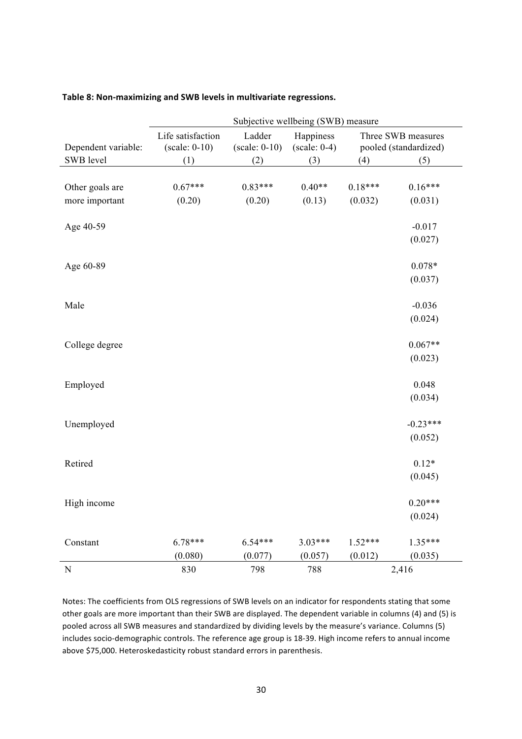|                     | Subjective wellbeing (SWB) measure   |                           |                             |           |                                             |  |  |  |  |  |  |  |
|---------------------|--------------------------------------|---------------------------|-----------------------------|-----------|---------------------------------------------|--|--|--|--|--|--|--|
| Dependent variable: | Life satisfaction<br>$(scale: 0-10)$ | Ladder<br>$(scale: 0-10)$ | Happiness<br>$(scale: 0-4)$ |           | Three SWB measures<br>pooled (standardized) |  |  |  |  |  |  |  |
| SWB level           | (1)                                  | (2)                       | (3)                         | (4)       | (5)                                         |  |  |  |  |  |  |  |
|                     |                                      |                           |                             |           |                                             |  |  |  |  |  |  |  |
| Other goals are     | $0.67***$                            | $0.83***$                 | $0.40**$                    | $0.18***$ | $0.16***$                                   |  |  |  |  |  |  |  |
| more important      | (0.20)                               | (0.20)                    | (0.13)                      | (0.032)   | (0.031)                                     |  |  |  |  |  |  |  |
| Age 40-59           |                                      |                           |                             |           | $-0.017$                                    |  |  |  |  |  |  |  |
|                     |                                      |                           |                             |           | (0.027)                                     |  |  |  |  |  |  |  |
| Age 60-89           |                                      |                           |                             |           | $0.078*$                                    |  |  |  |  |  |  |  |
|                     |                                      |                           |                             |           | (0.037)                                     |  |  |  |  |  |  |  |
| Male                |                                      |                           |                             |           | $-0.036$                                    |  |  |  |  |  |  |  |
|                     |                                      |                           |                             |           | (0.024)                                     |  |  |  |  |  |  |  |
| College degree      |                                      |                           |                             |           | $0.067**$                                   |  |  |  |  |  |  |  |
|                     |                                      |                           |                             |           | (0.023)                                     |  |  |  |  |  |  |  |
| Employed            |                                      |                           |                             |           | 0.048                                       |  |  |  |  |  |  |  |
|                     |                                      |                           |                             |           | (0.034)                                     |  |  |  |  |  |  |  |
| Unemployed          |                                      |                           |                             |           | $-0.23***$                                  |  |  |  |  |  |  |  |
|                     |                                      |                           |                             |           | (0.052)                                     |  |  |  |  |  |  |  |
| Retired             |                                      |                           |                             |           | $0.12*$                                     |  |  |  |  |  |  |  |
|                     |                                      |                           |                             |           | (0.045)                                     |  |  |  |  |  |  |  |
| High income         |                                      |                           |                             |           | $0.20***$                                   |  |  |  |  |  |  |  |
|                     |                                      |                           |                             |           | (0.024)                                     |  |  |  |  |  |  |  |
| Constant            | $6.78***$                            | $6.54***$                 | $3.03***$                   | $1.52***$ | $1.35***$                                   |  |  |  |  |  |  |  |
|                     | (0.080)                              | (0.077)                   | (0.057)                     | (0.012)   | (0.035)                                     |  |  |  |  |  |  |  |
| ${\bf N}$           | 830                                  | 798                       | 788                         |           | 2,416                                       |  |  |  |  |  |  |  |

#### Table 8: Non-maximizing and SWB levels in multivariate regressions.

Notes: The coefficients from OLS regressions of SWB levels on an indicator for respondents stating that some other goals are more important than their SWB are displayed. The dependent variable in columns (4) and (5) is pooled across all SWB measures and standardized by dividing levels by the measure's variance. Columns (5) includes socio-demographic controls. The reference age group is 18-39. High income refers to annual income above \$75,000. Heteroskedasticity robust standard errors in parenthesis.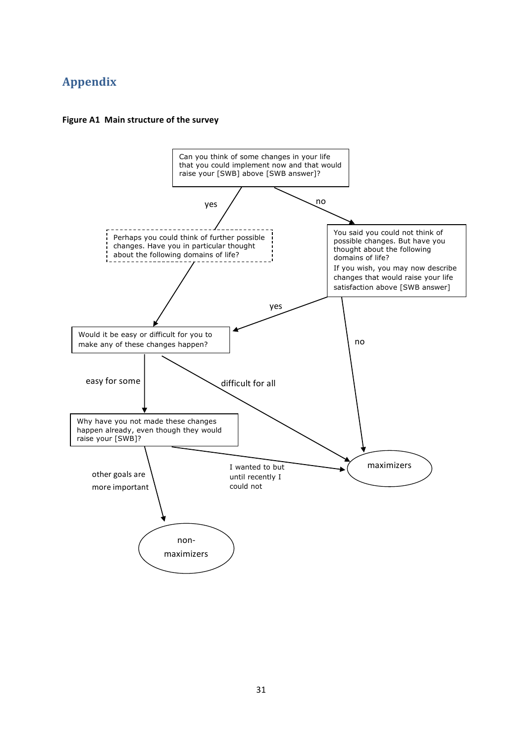# **Appendix**



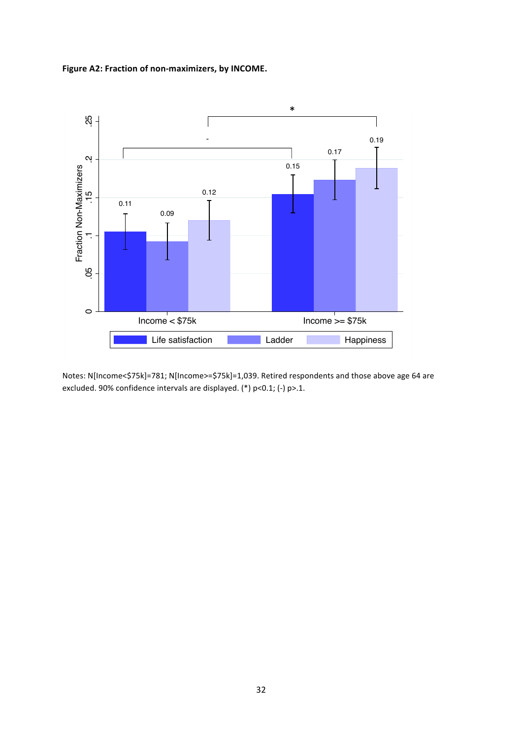Figure A2: Fraction of non-maximizers, by INCOME.



Notes: N[Income<\$75k]=781; N[Income>=\$75k]=1,039. Retired respondents and those above age 64 are excluded. 90% confidence intervals are displayed. (\*) p<0.1; (-) p>.1.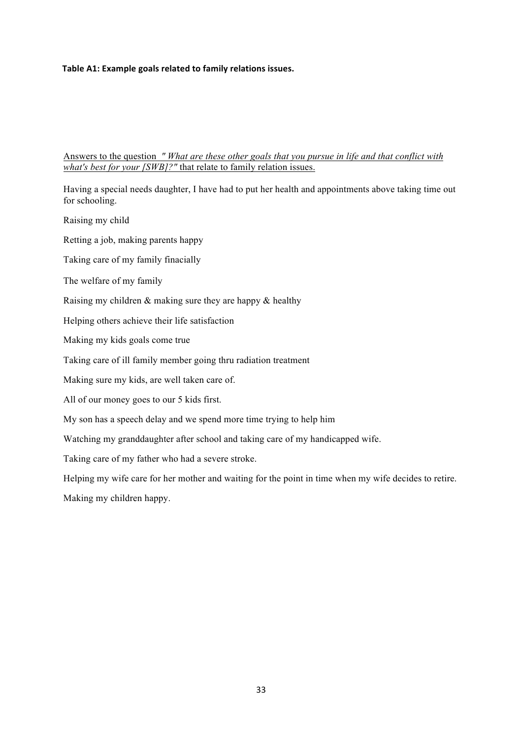#### Table A1: Example goals related to family relations issues.

Answers to the question *" What are these other goals that you pursue in life and that conflict with what's best for your [SWB]?"* that relate to family relation issues.

Having a special needs daughter, I have had to put her health and appointments above taking time out for schooling.

Raising my child

Retting a job, making parents happy

Taking care of my family finacially

The welfare of my family

Raising my children & making sure they are happy & healthy

Helping others achieve their life satisfaction

Making my kids goals come true

Taking care of ill family member going thru radiation treatment

Making sure my kids, are well taken care of.

All of our money goes to our 5 kids first.

My son has a speech delay and we spend more time trying to help him

Watching my granddaughter after school and taking care of my handicapped wife.

Taking care of my father who had a severe stroke.

Helping my wife care for her mother and waiting for the point in time when my wife decides to retire.

Making my children happy.